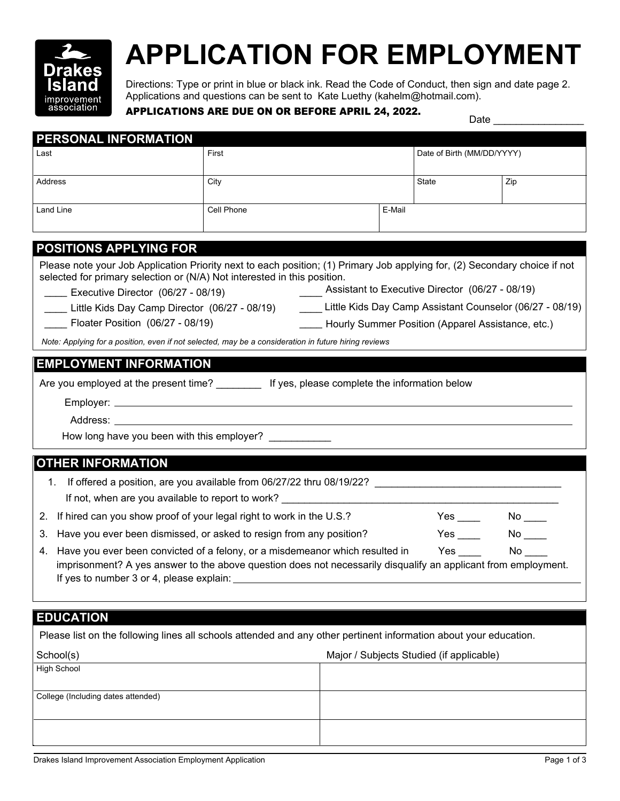

## **APPLICATION FOR EMPLOYMENT**

Directions: Type or print in blue or black ink. Read the Code of Conduct, then sign and date page 2. Applications and questions can be sent to Kate Luethy (kahelm@hotmail.com).

## **APPLICATIONS ARE DUE ON OR BEFORE APRIL 24, 2022.** Date

| PERSONAL INFORMATION                                                                                                                                                                                                                                      |                                                                     |  |        |                            |                           |  |
|-----------------------------------------------------------------------------------------------------------------------------------------------------------------------------------------------------------------------------------------------------------|---------------------------------------------------------------------|--|--------|----------------------------|---------------------------|--|
| Last                                                                                                                                                                                                                                                      | First                                                               |  |        | Date of Birth (MM/DD/YYYY) |                           |  |
|                                                                                                                                                                                                                                                           |                                                                     |  |        |                            |                           |  |
| <b>Address</b>                                                                                                                                                                                                                                            | City                                                                |  | State  |                            | Zip                       |  |
| Land Line                                                                                                                                                                                                                                                 | Cell Phone                                                          |  | E-Mail |                            |                           |  |
|                                                                                                                                                                                                                                                           |                                                                     |  |        |                            |                           |  |
| <b>POSITIONS APPLYING FOR</b>                                                                                                                                                                                                                             |                                                                     |  |        |                            |                           |  |
| Please note your Job Application Priority next to each position; (1) Primary Job applying for, (2) Secondary choice if not<br>selected for primary selection or (N/A) Not interested in this position.<br>Assistant to Executive Director (06/27 - 08/19) |                                                                     |  |        |                            |                           |  |
| Executive Director (06/27 - 08/19)<br>Little Kids Day Camp Director (06/27 - 08/19) _________ Little Kids Day Camp Assistant Counselor (06/27 - 08/19)                                                                                                    |                                                                     |  |        |                            |                           |  |
| Floater Position (06/27 - 08/19)<br>- Hourly Summer Position (Apparel Assistance, etc.)                                                                                                                                                                   |                                                                     |  |        |                            |                           |  |
| Note: Applying for a position, even if not selected, may be a consideration in future hiring reviews                                                                                                                                                      |                                                                     |  |        |                            |                           |  |
|                                                                                                                                                                                                                                                           |                                                                     |  |        |                            |                           |  |
| <b>EMPLOYMENT INFORMATION</b>                                                                                                                                                                                                                             |                                                                     |  |        |                            |                           |  |
| Are you employed at the present time? ___________ If yes, please complete the information below                                                                                                                                                           |                                                                     |  |        |                            |                           |  |
|                                                                                                                                                                                                                                                           |                                                                     |  |        |                            |                           |  |
|                                                                                                                                                                                                                                                           |                                                                     |  |        |                            |                           |  |
| How long have you been with this employer?                                                                                                                                                                                                                |                                                                     |  |        |                            |                           |  |
| <b>OTHER INFORMATION</b>                                                                                                                                                                                                                                  |                                                                     |  |        |                            |                           |  |
| 1.                                                                                                                                                                                                                                                        |                                                                     |  |        |                            |                           |  |
| If offered a position, are you available from 06/27/22 thru 08/19/22?<br>If not, when are you available to report to work? ______________________________                                                                                                 |                                                                     |  |        |                            |                           |  |
| If hired can you show proof of your legal right to work in the U.S.?<br>2.                                                                                                                                                                                |                                                                     |  |        | $Yes \_\_$                 | $No$ $\rule{1em}{0.15mm}$ |  |
| 3.                                                                                                                                                                                                                                                        | Have you ever been dismissed, or asked to resign from any position? |  |        | Yes                        |                           |  |
| Have you ever been convicted of a felony, or a misdemeanor which resulted in<br>Yes<br>No l<br>4.                                                                                                                                                         |                                                                     |  |        |                            |                           |  |
| imprisonment? A yes answer to the above question does not necessarily disqualify an applicant from employment.<br>If yes to number 3 or 4, please explain:                                                                                                |                                                                     |  |        |                            |                           |  |
|                                                                                                                                                                                                                                                           |                                                                     |  |        |                            |                           |  |
| <b>EDUCATION</b>                                                                                                                                                                                                                                          |                                                                     |  |        |                            |                           |  |
| Please list on the following lines all schools attended and any other pertinent information about your education.                                                                                                                                         |                                                                     |  |        |                            |                           |  |
| Major / Subjects Studied (if applicable)                                                                                                                                                                                                                  |                                                                     |  |        |                            |                           |  |
| School(s)<br><b>High School</b>                                                                                                                                                                                                                           |                                                                     |  |        |                            |                           |  |
|                                                                                                                                                                                                                                                           |                                                                     |  |        |                            |                           |  |
| College (Including dates attended)                                                                                                                                                                                                                        |                                                                     |  |        |                            |                           |  |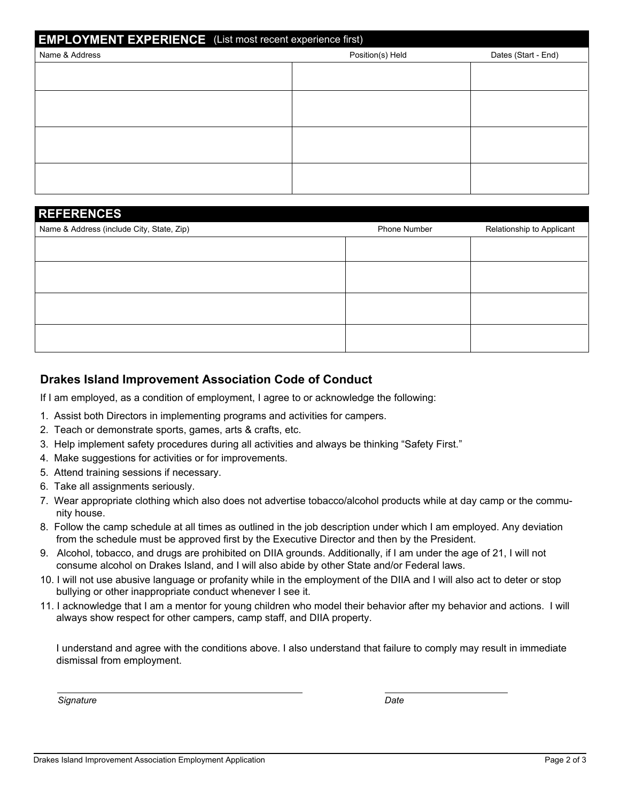| <b>EMPLOYMENT EXPERIENCE</b> (List most recent experience first) |  |  |  |  |  |  |
|------------------------------------------------------------------|--|--|--|--|--|--|
| Position(s) Held<br>Dates (Start - End)                          |  |  |  |  |  |  |
|                                                                  |  |  |  |  |  |  |
|                                                                  |  |  |  |  |  |  |
|                                                                  |  |  |  |  |  |  |
|                                                                  |  |  |  |  |  |  |
|                                                                  |  |  |  |  |  |  |
|                                                                  |  |  |  |  |  |  |
|                                                                  |  |  |  |  |  |  |
|                                                                  |  |  |  |  |  |  |

## **REFERENCES**

| Name & Address (include City, State, Zip) | Phone Number | Relationship to Applicant |
|-------------------------------------------|--------------|---------------------------|
|                                           |              |                           |
|                                           |              |                           |
|                                           |              |                           |
|                                           |              |                           |
|                                           |              |                           |
|                                           |              |                           |

## **Drakes Island Improvement Association Code of Conduct**

If I am employed, as a condition of employment, I agree to or acknowledge the following:

- 1. Assist both Directors in implementing programs and activities for campers.
- 2. Teach or demonstrate sports, games, arts & crafts, etc.
- 3. Help implement safety procedures during all activities and always be thinking "Safety First."
- 4. Make suggestions for activities or for improvements.
- 5. Attend training sessions if necessary.
- 6. Take all assignments seriously.
- 7. Wear appropriate clothing which also does not advertise tobacco/alcohol products while at day camp or the community house.
- 8. Follow the camp schedule at all times as outlined in the job description under which I am employed. Any deviation from the schedule must be approved first by the Executive Director and then by the President.
- 9. Alcohol, tobacco, and drugs are prohibited on DIIA grounds. Additionally, if I am under the age of 21, I will not consume alcohol on Drakes Island, and I will also abide by other State and/or Federal laws.
- 10. I will not use abusive language or profanity while in the employment of the DIIA and I will also act to deter or stop bullying or other inappropriate conduct whenever I see it.
- 11. I acknowledge that I am a mentor for young children who model their behavior after my behavior and actions. I will always show respect for other campers, camp staff, and DIIA property.

I understand and agree with the conditions above. I also understand that failure to comply may result in immediate dismissal from employment.

*Signature Date*